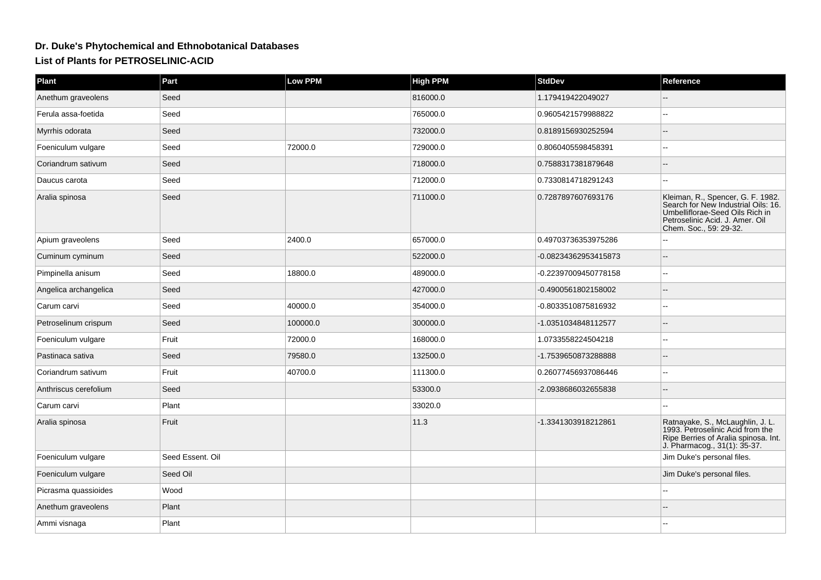## **Dr. Duke's Phytochemical and Ethnobotanical DatabasesList of Plants for PETROSELINIC-ACID**

| <b>Plant</b>          | Part             | Low PPM  | <b>High PPM</b> | <b>StdDev</b>        | Reference                                                                                                                                                                |
|-----------------------|------------------|----------|-----------------|----------------------|--------------------------------------------------------------------------------------------------------------------------------------------------------------------------|
| Anethum graveolens    | Seed             |          | 816000.0        | 1.179419422049027    |                                                                                                                                                                          |
| Ferula assa-foetida   | Seed             |          | 765000.0        | 0.9605421579988822   |                                                                                                                                                                          |
| Myrrhis odorata       | Seed             |          | 732000.0        | 0.8189156930252594   |                                                                                                                                                                          |
| Foeniculum vulgare    | Seed             | 72000.0  | 729000.0        | 0.8060405598458391   |                                                                                                                                                                          |
| Coriandrum sativum    | Seed             |          | 718000.0        | 0.7588317381879648   |                                                                                                                                                                          |
| Daucus carota         | Seed             |          | 712000.0        | 0.7330814718291243   | --                                                                                                                                                                       |
| Aralia spinosa        | Seed             |          | 711000.0        | 0.7287897607693176   | Kleiman, R., Spencer, G. F. 1982.<br>Search for New Industrial Oils: 16.<br>Umbelliflorae-Seed Oils Rich in<br>Petroselinic Acid. J. Amer. Oil<br>Chem. Soc., 59: 29-32. |
| Apium graveolens      | Seed             | 2400.0   | 657000.0        | 0.49703736353975286  |                                                                                                                                                                          |
| Cuminum cyminum       | Seed             |          | 522000.0        | -0.08234362953415873 |                                                                                                                                                                          |
| Pimpinella anisum     | Seed             | 18800.0  | 489000.0        | -0.22397009450778158 |                                                                                                                                                                          |
| Angelica archangelica | Seed             |          | 427000.0        | -0.4900561802158002  |                                                                                                                                                                          |
| Carum carvi           | Seed             | 40000.0  | 354000.0        | -0.8033510875816932  |                                                                                                                                                                          |
| Petroselinum crispum  | Seed             | 100000.0 | 300000.0        | -1.0351034848112577  |                                                                                                                                                                          |
| Foeniculum vulgare    | Fruit            | 72000.0  | 168000.0        | 1.0733558224504218   | $\overline{a}$                                                                                                                                                           |
| Pastinaca sativa      | Seed             | 79580.0  | 132500.0        | -1.7539650873288888  |                                                                                                                                                                          |
| Coriandrum sativum    | Fruit            | 40700.0  | 111300.0        | 0.26077456937086446  | --                                                                                                                                                                       |
| Anthriscus cerefolium | Seed             |          | 53300.0         | -2.0938686032655838  |                                                                                                                                                                          |
| Carum carvi           | Plant            |          | 33020.0         |                      |                                                                                                                                                                          |
| Aralia spinosa        | Fruit            |          | 11.3            | -1.3341303918212861  | Ratnayake, S., McLaughlin, J. L.<br>1993. Petroselinic Acid from the<br>Ripe Berries of Aralia spinosa. Int.<br>J. Pharmacog., 31(1): 35-37.                             |
| Foeniculum vulgare    | Seed Essent. Oil |          |                 |                      | Jim Duke's personal files.                                                                                                                                               |
| Foeniculum vulgare    | Seed Oil         |          |                 |                      | Jim Duke's personal files.                                                                                                                                               |
| Picrasma quassioides  | Wood             |          |                 |                      |                                                                                                                                                                          |
| Anethum graveolens    | Plant            |          |                 |                      |                                                                                                                                                                          |
| Ammi visnaga          | Plant            |          |                 |                      |                                                                                                                                                                          |